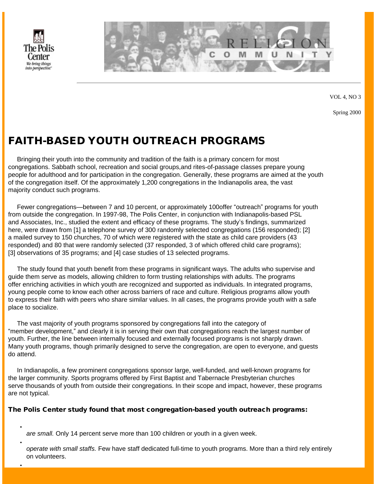

●

●

●



VOL 4, NO 3

Spring 2000

# FAITH-BASED YOUTH OUTREACH PROGRAMS

 Bringing their youth into the community and tradition of the faith is a primary concern for most congregations. Sabbath school, recreation and social groups,and rites-of-passage classes prepare young people for adulthood and for participation in the congregation. Generally, these programs are aimed at the youth of the congregation itself. Of the approximately 1,200 congregations in the Indianapolis area, the vast majority conduct such programs.

 Fewer congregations—between 7 and 10 percent, or approximately 100 offer "outreach" programs for youth from outside the congregation. In 1997-98, The Polis Center, in conjunction with Indianapolis-based PSL and Associates, Inc., studied the extent and efficacy of these programs. The study's findings, summarized here, were drawn from [1] a telephone survey of 300 randomly selected congregations (156 responded); [2] a mailed survey to 150 churches, 70 of which were registered with the state as child care providers (43 responded) and 80 that were randomly selected (37 responded, 3 of which offered child care programs); [3] observations of 35 programs; and [4] case studies of 13 selected programs.

 The study found that youth benefit from these programs in significant ways. The adults who supervise and guide them serve as models, allowing children to form trusting relationships with adults. The programs offer enriching activities in which youth are recognized and supported as individuals. In integrated programs, young people come to know each other across barriers of race and culture. Religious programs allow youth to express their faith with peers who share similar values. In all cases, the programs provide youth with a safe place to socialize.

 The vast majority of youth programs sponsored by congregations fall into the category of "member development," and clearly it is in serving their own that congregations reach the largest number of youth. Further, the line between internally focused and externally focused programs is not sharply drawn. Many youth programs, though primarily designed to serve the congregation, are open to everyone, and guests do attend.

 In Indianapolis, a few prominent congregations sponsor large, well-funded, and well-known programs for the larger community. Sports programs offered by First Baptist and Tabernacle Presbyterian churches serve thousands of youth from outside their congregations. In their scope and impact, however, these programs are not typical.

#### The Polis Center study found that most congregation-based youth outreach programs:

*are small.* Only 14 percent serve more than 100 children or youth in a given week.

*operate with small staffs.* Few have staff dedicated full-time to youth programs. More than a third rely entirely on volunteers.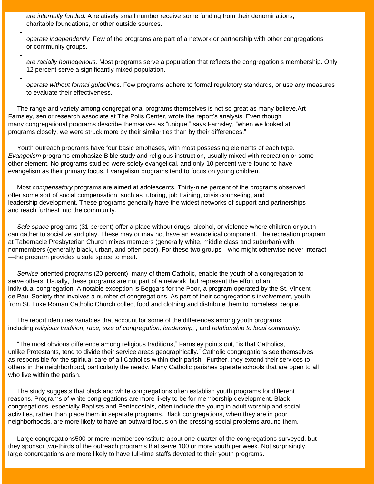*are internally funded.* A relatively small number receive some funding from their denominations, charitable foundations, or other outside sources.

●

●

●

*operate independently.* Few of the programs are part of a network or partnership with other congregations or community groups.

*are racially homogenous.* Most programs serve a population that reflects the congregation's membership. Only 12 percent serve a significantly mixed population.

*operate without formal guidelines.* Few programs adhere to formal regulatory standards, or use any measures to evaluate their effectiveness.

 The range and variety among congregational programs themselves is not so great as many believe.Art Farnsley, senior research associate at The Polis Center, wrote the report's analysis. Even though many congregational programs describe themselves as "unique," says Farnsley, "when we looked at programs closely, we were struck more by their similarities than by their differences."

 Youth outreach programs have four basic emphases, with most possessing elements of each type. *Evangelism* programs emphasize Bible study and religious instruction, usually mixed with recreation or some other element. No programs studied were solely evangelical, and only 10 percent were found to have evangelism as their primary focus. Evangelism programs tend to focus on young children.

 Most *compensatory* programs are aimed at adolescents. Thirty-nine percent of the programs observed offer some sort of social compensation, such as tutoring, job training, crisis counseling, and leadership development. These programs generally have the widest networks of support and partnerships and reach furthest into the community.

 *Safe space* programs (31 percent) offer a place without drugs, alcohol, or violence where children or youth can gather to socialize and play. These may or may not have an evangelical component. The recreation program at Tabernacle Presbyterian Church mixes members (generally white, middle class and suburban) with nonmembers (generally black, urban, and often poor). For these two groups—who might otherwise never interact —the program provides a safe space to meet.

 *Service*-oriented programs (20 percent), many of them Catholic, enable the youth of a congregation to serve others. Usually, these programs are not part of a network, but represent the effort of an individual congregation. A notable exception is Beggars for the Poor, a program operated by the St. Vincent de Paul Society that involves a number of congregations. As part of their congregation's involvement, youth from St. Luke Roman Catholic Church collect food and clothing and distribute them to homeless people.

 The report identifies variables that account for some of the differences among youth programs, including *religious tradition, race, size of congregation, leadership, ,* and *relationship to local community.*

 "The most obvious difference among religious traditions," Farnsley points out, "is that Catholics, unlike Protestants, tend to divide their service areas geographically." Catholic congregations see themselves as responsible for the spiritual care of all Catholics within their parish. Further, they extend their services to others in the neighborhood, particularly the needy. Many Catholic parishes operate schools that are open to all who live within the parish.

 The study suggests that black and white congregations often establish youth programs for different reasons. Programs of white congregations are more likely to be for membership development. Black congregations, especially Baptists and Pentecostals, often include the young in adult worship and social activities, rather than place them in separate programs. Black congregations, when they are in poor neighborhoods, are more likely to have an outward focus on the pressing social problems around them.

 Large congregations 500 or more members constitute about one-quarter of the congregations surveyed, but they sponsor two-thirds of the outreach programs that serve 100 or more youth per week. Not surprisingly, large congregations are more likely to have full-time staffs devoted to their youth programs.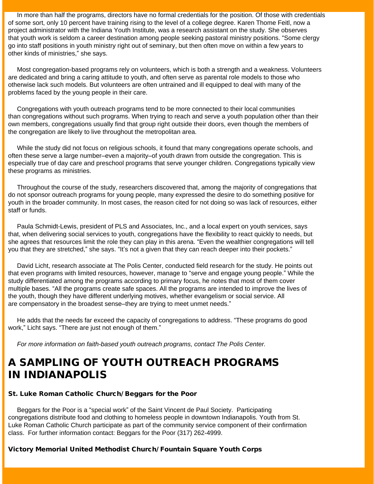In more than half the programs, directors have no formal credentials for the position. Of those with credentials of some sort, only 10 percent have training rising to the level of a college degree. Karen Thome Feitl, now a project administrator with the Indiana Youth Institute, was a research assistant on the study. She observes that youth work is seldom a career destination among people seeking pastoral ministry positions. "Some clergy go into staff positions in youth ministry right out of seminary, but then often move on within a few years to other kinds of ministries," she says.

 Most congregation-based programs rely on volunteers, which is both a strength and a weakness. Volunteers are dedicated and bring a caring attitude to youth, and often serve as parental role models to those who otherwise lack such models. But volunteers are often untrained and ill equipped to deal with many of the problems faced by the young people in their care.

 Congregations with youth outreach programs tend to be more connected to their local communities than congregations without such programs. When trying to reach and serve a youth population other than their own members, congregations usually find that group right outside their doors, even though the members of the congregation are likely to live throughout the metropolitan area.

 While the study did not focus on religious schools, it found that many congregations operate schools, and often these serve a large number–even a majority–of youth drawn from outside the congregation. This is especially true of day care and preschool programs that serve younger children. Congregations typically view these programs as ministries.

 Throughout the course of the study, researchers discovered that, among the majority of congregations that do not sponsor outreach programs for young people, many expressed the desire to do something positive for youth in the broader community. In most cases, the reason cited for not doing so was lack of resources, either staff or funds.

 Paula Schmidt-Lewis, president of PLS and Associates, Inc., and a local expert on youth services, says that, when delivering social services to youth, congregations have the flexibility to react quickly to needs, but she agrees that resources limit the role they can play in this arena. "Even the wealthier congregations will tell you that they are stretched," she says. "It's not a given that they can reach deeper into their pockets."

 David Licht, research associate at The Polis Center, conducted field research for the study. He points out that even programs with limited resources, however, manage to "serve and engage young people." While the study differentiated among the programs according to primary focus, he notes that most of them cover multiple bases. "All the programs create safe spaces. All the programs are intended to improve the lives of the youth, though they have different underlying motives, whether evangelism or social service. All are compensatory in the broadest sense–they are trying to meet unmet needs."

 He adds that the needs far exceed the capacity of congregations to address. "These programs do good work," Licht says. "There are just not enough of them."

*For more information on faith-based youth outreach programs, contact The Polis Center.*

# A SAMPLING OF YOUTH OUTREACH PROGRAMS IN INDIANAPOLIS

#### St. Luke Roman Catholic Church/ Beggars for the Poor

 Beggars for the Poor is a "special work" of the Saint Vincent de Paul Society. Participating congregations distribute food and clothing to homeless people in downtown Indianapolis. Youth from St. Luke Roman Catholic Church participate as part of the community service component of their confirmation class. For further information contact: Beggars for the Poor (317) 262-4999.

#### Victory Memorial United Methodist Church/ Fountain Square Youth Corps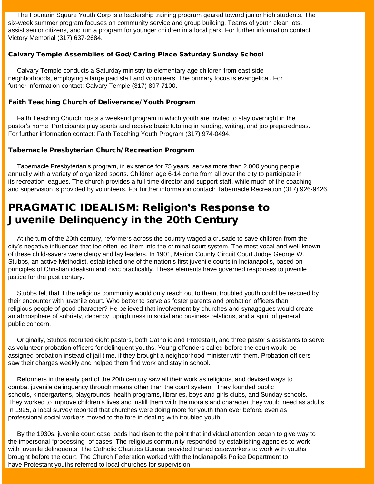The Fountain Square Youth Corp is a leadership training program geared toward junior high students. The six-week summer program focuses on community service and group building. Teams of youth clean lots, assist senior citizens, and run a program for younger children in a local park. For further information contact: Victory Memorial (317) 637-2684.

### Calvary Temple Assemblies of God/ Caring Place Saturday Sunday School

 Calvary Temple conducts a Saturday ministry to elementary age children from east side neighborhoods, employing a large paid staff and volunteers. The primary focus is evangelical. For further information contact: Calvary Temple (317) 897-7100.

### Faith Teaching Church of Deliverance/ Youth Program

 Faith Teaching Church hosts a weekend program in which youth are invited to stay overnight in the pastor's home. Participants play sports and receive basic tutoring in reading, writing, and job preparedness. For further information contact: Faith Teaching Youth Program (317) 974-0494.

### Tabernacle Presbyterian Church/ Recreation Program

 Tabernacle Presbyterian's program, in existence for 75 years, serves more than 2,000 young people annually with a variety of organized sports. Children age 6-14 come from all over the city to participate in its recreation leagues. The church provides a full-time director and support staff, while much of the coaching and supervision is provided by volunteers. For further information contact: Tabernacle Recreation (317) 926-9426.

## PRAGMATIC IDEALISM: Religion's Response to Juvenile Delinquency in the 20th Century

 At the turn of the 20th century, reformers across the country waged a crusade to save children from the city's negative influences that too often led them into the criminal court system. The most vocal and well-known of these child-savers were clergy and lay leaders. In 1901, Marion County Circuit Court Judge George W. Stubbs, an active Methodist, established one of the nation's first juvenile courts in Indianapolis, based on principles of Christian idealism and civic practicality. These elements have governed responses to juvenile justice for the past century.

 Stubbs felt that if the religious community would only reach out to them, troubled youth could be rescued by their encounter with juvenile court. Who better to serve as foster parents and probation officers than religious people of good character? He believed that involvement by churches and synagogues would create an atmosphere of sobriety, decency, uprightness in social and business relations, and a spirit of general public concern.

 Originally, Stubbs recruited eight pastors, both Catholic and Protestant, and three pastor's assistants to serve as volunteer probation officers for delinquent youths. Young offenders called before the court would be assigned probation instead of jail time, if they brought a neighborhood minister with them. Probation officers saw their charges weekly and helped them find work and stay in school.

 Reformers in the early part of the 20th century saw all their work as religious, and devised ways to combat juvenile delinquency through means other than the court system. They founded public schools, kindergartens, playgrounds, health programs, libraries, boys and girls clubs, and Sunday schools. They worked to improve children's lives and instill them with the morals and character they would need as adults. In 1925, a local survey reported that churches were doing more for youth than ever before, even as professional social workers moved to the fore in dealing with troubled youth.

 By the 1930s, juvenile court case loads had risen to the point that individual attention began to give way to the impersonal "processing" of cases. The religious community responded by establishing agencies to work with juvenile delinquents. The Catholic Charities Bureau provided trained caseworkers to work with youths brought before the court. The Church Federation worked with the Indianapolis Police Department to have Protestant youths referred to local churches for supervision.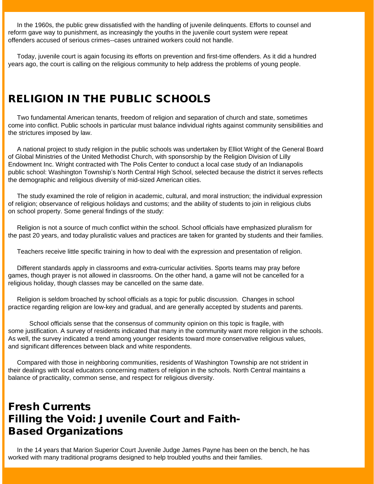In the 1960s, the public grew dissatisfied with the handling of juvenile delinquents. Efforts to counsel and reform gave way to punishment, as increasingly the youths in the juvenile court system were repeat offenders accused of serious crimes--cases untrained workers could not handle.

 Today, juvenile court is again focusing its efforts on prevention and first-time offenders. As it did a hundred years ago, the court is calling on the religious community to help address the problems of young people.

# RELIGION IN THE PUBLIC SCHOOLS

 Two fundamental American tenants, freedom of religion and separation of church and state, sometimes come into conflict. Public schools in particular must balance individual rights against community sensibilities and the strictures imposed by law.

 A national project to study religion in the public schools was undertaken by Elliot Wright of the General Board of Global Ministries of the United Methodist Church, with sponsorship by the Religion Division of Lilly Endowment Inc. Wright contracted with The Polis Center to conduct a local case study of an Indianapolis public school: Washington Township's North Central High School, selected because the district it serves reflects the demographic and religious diversity of mid-sized American cities.

 The study examined the role of religion in academic, cultural, and moral instruction; the individual expression of religion; observance of religious holidays and customs; and the ability of students to join in religious clubs on school property. Some general findings of the study:

 Religion is not a source of much conflict within the school. School officials have emphasized pluralism for the past 20 years, and today pluralistic values and practices are taken for granted by students and their families.

Teachers receive little specific training in how to deal with the expression and presentation of religion.

 Different standards apply in classrooms and extra-curricular activities. Sports teams may pray before games, though prayer is not allowed in classrooms. On the other hand, a game will not be cancelled for a religious holiday, though classes may be cancelled on the same date.

 Religion is seldom broached by school officials as a topic for public discussion. Changes in school practice regarding religion are low-key and gradual, and are generally accepted by students and parents.

 School officials sense that the consensus of community opinion on this topic is fragile, with some justification. A survey of residents indicated that many in the community want more religion in the schools. As well, the survey indicated a trend among younger residents toward more conservative religious values, and significant differences between black and white respondents.

 Compared with those in neighboring communities, residents of Washington Township are not strident in their dealings with local educators concerning matters of religion in the schools. North Central maintains a balance of practicality, common sense, and respect for religious diversity.

## Fresh Currents Filling the Void: Juvenile Court and Faith-Based Organizations

 In the 14 years that Marion Superior Court Juvenile Judge James Payne has been on the bench, he has worked with many traditional programs designed to help troubled youths and their families.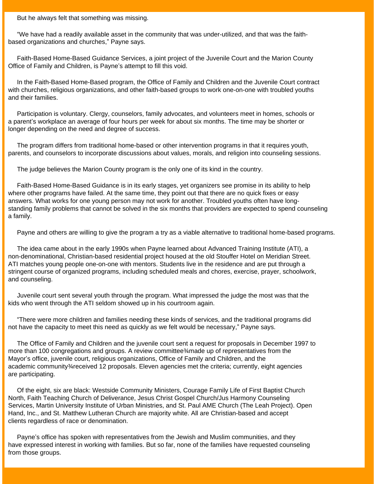But he always felt that something was missing.

 "We have had a readily available asset in the community that was under-utilized, and that was the faithbased organizations and churches," Payne says.

 Faith-Based Home-Based Guidance Services, a joint project of the Juvenile Court and the Marion County Office of Family and Children, is Payne's attempt to fill this void.

 In the Faith-Based Home-Based program, the Office of Family and Children and the Juvenile Court contract with churches, religious organizations, and other faith-based groups to work one-on-one with troubled youths and their families.

 Participation is voluntary. Clergy, counselors, family advocates, and volunteers meet in homes, schools or a parent's workplace an average of four hours per week for about six months. The time may be shorter or longer depending on the need and degree of success.

 The program differs from traditional home-based or other intervention programs in that it requires youth, parents, and counselors to incorporate discussions about values, morals, and religion into counseling sessions.

The judge believes the Marion County program is the only one of its kind in the country.

 Faith-Based Home-Based Guidance is in its early stages, yet organizers see promise in its ability to help where other programs have failed. At the same time, they point out that there are no quick fixes or easy answers. What works for one young person may not work for another. Troubled youths often have longstanding family problems that cannot be solved in the six months that providers are expected to spend counseling a family.

Payne and others are willing to give the program a try as a viable alternative to traditional home-based programs.

 The idea came about in the early 1990s when Payne learned about Advanced Training Institute (ATI), a non-denominational, Christian-based residential project housed at the old Stouffer Hotel on Meridian Street. ATI matches young people one-on-one with mentors. Students live in the residence and are put through a stringent course of organized programs, including scheduled meals and chores, exercise, prayer, schoolwork, and counseling.

 Juvenile court sent several youth through the program. What impressed the judge the most was that the kids who went through the ATI seldom showed up in his courtroom again.

 "There were more children and families needing these kinds of services, and the traditional programs did not have the capacity to meet this need as quickly as we felt would be necessary," Payne says.

 The Office of Family and Children and the juvenile court sent a request for proposals in December 1997 to more than 100 congregations and groups. A review committee¾made up of representatives from the Mayor's office, juvenile court, religious organizations, Office of Family and Children, and the academic community¾received 12 proposals. Eleven agencies met the criteria; currently, eight agencies are participating.

 Of the eight, six are black: Westside Community Ministers, Courage Family Life of First Baptist Church North, Faith Teaching Church of Deliverance, Jesus Christ Gospel Church/Jus Harmony Counseling Services, Martin University Institute of Urban Ministries, and St. Paul AME Church (The Leah Project). Open Hand, Inc., and St. Matthew Lutheran Church are majority white. All are Christian-based and accept clients regardless of race or denomination.

 Payne's office has spoken with representatives from the Jewish and Muslim communities, and they have expressed interest in working with families. But so far, none of the families have requested counseling from those groups.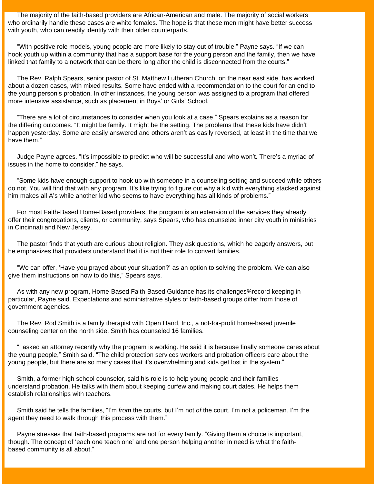The majority of the faith-based providers are African-American and male. The majority of social workers who ordinarily handle these cases are white females. The hope is that these men might have better success with youth, who can readily identify with their older counterparts.

 "With positive role models, young people are more likely to stay out of trouble," Payne says. "If we can hook youth up within a community that has a support base for the young person and the family, then we have linked that family to a network that can be there long after the child is disconnected from the courts."

 The Rev. Ralph Spears, senior pastor of St. Matthew Lutheran Church, on the near east side, has worked about a dozen cases, with mixed results. Some have ended with a recommendation to the court for an end to the young person's probation. In other instances, the young person was assigned to a program that offered more intensive assistance, such as placement in Boys' or Girls' School.

 "There are a lot of circumstances to consider when you look at a case," Spears explains as a reason for the differing outcomes. "It might be family. It might be the setting. The problems that these kids have didn't happen yesterday. Some are easily answered and others aren't as easily reversed, at least in the time that we have them."

 Judge Payne agrees. "It's impossible to predict who will be successful and who won't. There's a myriad of issues in the home to consider," he says.

 "Some kids have enough support to hook up with someone in a counseling setting and succeed while others do not. You will find that with any program. It's like trying to figure out why a kid with everything stacked against him makes all A's while another kid who seems to have everything has all kinds of problems."

 For most Faith-Based Home-Based providers, the program is an extension of the services they already offer their congregations, clients, or community, says Spears, who has counseled inner city youth in ministries in Cincinnati and New Jersey.

 The pastor finds that youth are curious about religion. They ask questions, which he eagerly answers, but he emphasizes that providers understand that it is not their role to convert families.

 "We can offer, 'Have you prayed about your situation?' as an option to solving the problem. We can also give them instructions on how to do this," Spears says.

 As with any new program, Home-Based Faith-Based Guidance has its challenges¾record keeping in particular, Payne said. Expectations and administrative styles of faith-based groups differ from those of government agencies.

 The Rev. Rod Smith is a family therapist with Open Hand, Inc., a not-for-profit home-based juvenile counseling center on the north side. Smith has counseled 16 families.

 "I asked an attorney recently why the program is working. He said it is because finally someone cares about the young people," Smith said. "The child protection services workers and probation officers care about the young people, but there are so many cases that it's overwhelming and kids get lost in the system."

 Smith, a former high school counselor, said his role is to help young people and their families understand probation. He talks with them about keeping curfew and making court dates. He helps them establish relationships with teachers.

 Smith said he tells the families, "I'm *from* the courts, but I'm not *of* the court. I'm not a policeman. I'm the agent they need to walk through this process with them."

 Payne stresses that faith-based programs are not for every family. "Giving them a choice is important, though. The concept of 'each one teach one' and one person helping another in need is what the faithbased community is all about."